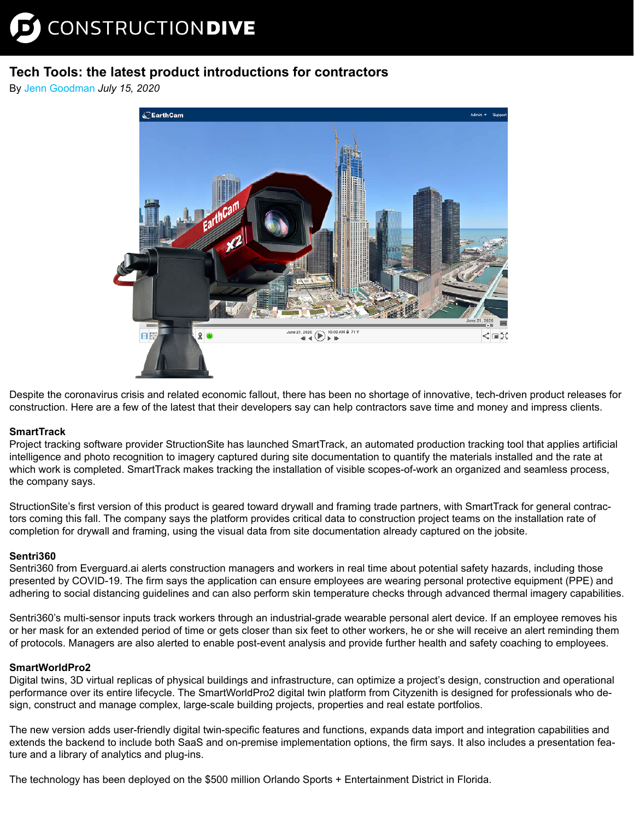# **Tech Tools: the latest product introductions for contractors**

By [Jenn Goodman](https://www.constructiondive.com/editors/jgoodman/) *July 15, 2020*



Despit[e the coronavirus crisis and related economic fallout, there has been no shortage of innovative, tech-driven product release](https://www.earthcam.net/products/gigapixelcamx2.php)s for construction. Here are a few of the latest that their developers say can help contractors save time and money and impress clients.

## **SmartTrack**

Project tracking software provider StructionSite has launched SmartTrack, an automated production tracking tool that applies artificial intelligence and photo recognition to imagery captured during site documentation to quantify the materials installed and the rate at which work is completed. SmartTrack makes tracking the installation of visible scopes-of-work an organized and seamless process, the company says.

StructionSite's first version of this product is geared toward drywall and framing trade partners, with SmartTrack for general contractors coming this fall. The company says the platform provides critical data to construction project teams on the installation rate of completion for drywall and framing, using the visual data from site documentation already captured on the jobsite.

## **Sentri360**

Sentri360 from Everguard.ai alerts construction managers and workers in real time about potential safety hazards, including those presented by COVID-19. The firm says the application can ensure employees are wearing personal protective equipment (PPE) and adhering to social distancing guidelines and can also perform skin temperature checks through advanced thermal imagery capabilities.

Sentri360's multi-sensor inputs track workers through an industrial-grade wearable personal alert device. If an employee removes his or her mask for an extended period of time or gets closer than six feet to other workers, he or she will receive an alert reminding them of protocols. Managers are also alerted to enable post-event analysis and provide further health and safety coaching to employees.

## **SmartWorldPro2**

Digital twins, 3D virtual replicas of physical buildings and infrastructure, can optimize a project's design, construction and operational performance over its entire lifecycle. The SmartWorldPro2 digital twin platform from Cityzenith is designed for professionals who design, construct and manage complex, large-scale building projects, properties and real estate portfolios.

The new version adds user-friendly digital twin-specific features and functions, expands data import and integration capabilities and extends the backend to include both SaaS and on-premise implementation options, the firm says. It also includes a presentation feature and a library of analytics and plug-ins.

The technology has been deployed on the \$500 million Orlando Sports + Entertainment District in Florida.